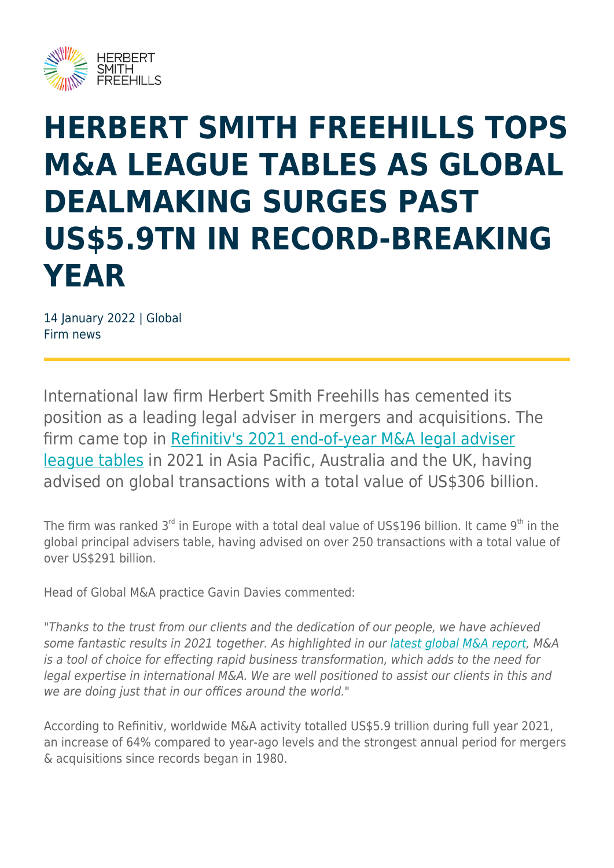

## **HERBERT SMITH FREEHILLS TOPS M&A LEAGUE TABLES AS GLOBAL DEALMAKING SURGES PAST US\$5.9TN IN RECORD-BREAKING YEAR**

14 January 2022 | Global Firm news

International law firm Herbert Smith Freehills has cemented its position as a leading legal adviser in mergers and acquisitions. The firm came top in [Refinitiv's 2021 end-of-year M&A legal adviser](https://thesource.refinitiv.com/thesource/getfile/index/17b48823-0075-401c-a077-07cd9626284c?utm_source=Eloqua&utm_medium=email&utm_campaign=00014FJ_NewsletterDQRLegalAdvisory_Other&utm_content=NL_M%26A%20Legal%20Advisory%20Review_FY21&elqCampaignId=2406&elqTrackId=b7f66c91beb84c5bab936d631c5500f2&elq=acd6b976fb604ed4a3fb630bcc47f815&elqaid=94079&elqat=1&elqCampaignId=2406) [league tables](https://thesource.refinitiv.com/thesource/getfile/index/17b48823-0075-401c-a077-07cd9626284c?utm_source=Eloqua&utm_medium=email&utm_campaign=00014FJ_NewsletterDQRLegalAdvisory_Other&utm_content=NL_M%26A%20Legal%20Advisory%20Review_FY21&elqCampaignId=2406&elqTrackId=b7f66c91beb84c5bab936d631c5500f2&elq=acd6b976fb604ed4a3fb630bcc47f815&elqaid=94079&elqat=1&elqCampaignId=2406) in 2021 in Asia Pacific, Australia and the UK, having advised on global transactions with a total value of US\$306 billion.

The firm was ranked  $3^{rd}$  in Europe with a total deal value of US\$196 billion. It came 9<sup>th</sup> in the global principal advisers table, having advised on over 250 transactions with a total value of over US\$291 billion.

Head of Global M&A practice Gavin Davies commented:

"Thanks to the trust from our clients and the dedication of our people, we have achieved some fantastic results in 2021 together. As highlighted in our [latest global M&A report](https://insights.hsf.com/ma-report-2022/p/1?utm_source=press&utm_medium=press-release&utm_campaign=M%26AOutlook2022), M&A is a tool of choice for effecting rapid business transformation, which adds to the need for legal expertise in international M&A. We are well positioned to assist our clients in this and we are doing just that in our offices around the world."

According to Refinitiv, worldwide M&A activity totalled US\$5.9 trillion during full year 2021, an increase of 64% compared to year-ago levels and the strongest annual period for mergers & acquisitions since records began in 1980.